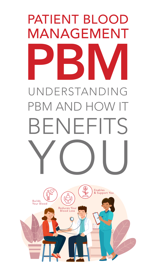

# UNDERSTANDING PBM AND HOW IT

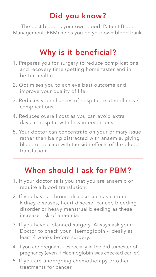## Did you know?

The best blood is your own blood. Patient Blood Management (PBM) helps you be your own blood bank.

## Why is it beneficial?

- 1. Prepares you for surgery to reduce complications and recovery time (getting home faster and in better health).
- 2. Optimises you to achieve best outcome and improve your quality of life.
- 3. Reduces your chances of hospital related illness / complications.
- 4. Reduces overall cost as you can avoid extra days in hospital with less interventions.
- 5. Your doctor can concentrate on your primary issue rather than being distracted with anaemia, giving blood or dealing with the side-effects of the blood transfusion.

### When should I ask for PBM?

- 1. If your doctor tells you that you are anaemic or require a blood transfusion.
- 2. If you have a chronic disease such as chronic kidney diseases, heart disease, cancer, bleeding disorder or heavy menstrual bleeding as these increase risk of anaemia.
- 3. If you have a planned surgery. Always ask your

Doctor to check your Haemoglobin - ideally at least 4 weeks before surgery.

4. If you are pregnant - especially in the 3rd trimester of pregnancy (even if Haemoglobin was checked earlier).

5. If you are undergoing chemotherapy or other treatments for cancer.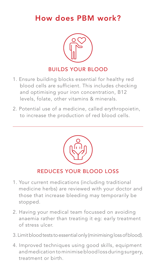### How does PBM work?



- 1. Ensure building blocks essential for healthy red blood cells are sufficient. This includes checking and optimising your iron concentration, B12 levels, folate, other vitamins & minerals.
- 2. Potential use of a medicine, called erythropoietin,

#### to increase the production of red blood cells.



- 1. Your current medications (including traditional medicine herbs) are reviewed with your doctor and those that increase bleeding may temporarily be stopped.
- 2. Having your medical team focussed on avoiding anaemia rather than treating it eg: early treatment of stress ulcer.

#### 3. Limit blood tests to essential only (minimising loss of blood).

4. Improved techniques using good skills, equipment and medication to minimise blood loss during surgery, treatment or birth.

#### BUILDS YOUR BLOOD

### REDUCES YOUR BLOOD LOSS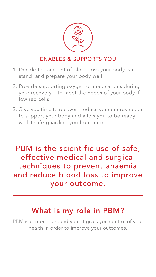- 1. Decide the amount of blood loss your body can stand, and prepare your body well.
- 2. Provide supporting oxygen or medications during your recovery – to meet the needs of your body if low red cells.
- 3. Give you time to recover reduce your energy needs

### PBM is the scientific use of safe, effective medical and surgical techniques to prevent anaemia and reduce blood loss to improve your outcome.

to support your body and allow you to be ready whilst safe-guarding you from harm.



### ENABLES & SUPPORTS YOU

### What is my role in PBM?

PBM is centered around you. It gives you control of your

#### health in order to improve your outcomes.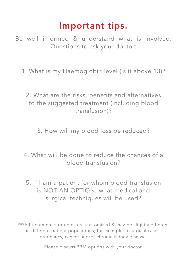### Important tips.

Be well informed & understand what is involved. Questions to ask your doctor:

1. What is my Haemoglobin level (is it above 13)?

2. What are the risks, benefits and alternatives to the suggested treatment (including blood transfusion)?

3. How will my blood loss be reduced?

4. What will be done to reduce the chances of a blood transfusion?

5. If I am a patient for whom blood transfusion is NOT AN OPTION, what medical and surgical techniques will be used?

\*\*\*All treatment strategies are customised & may be slightly different in different patient populations; for example in surgical cases, pregnancy, cancer and/or chronic kidney disease.

Please discuss PBM options with your doctor.